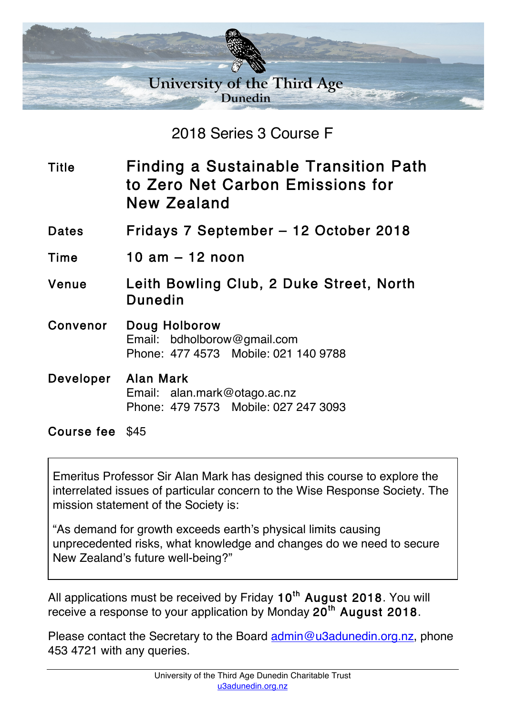

2018 Series 3 Course F

Title Finding a Sustainable Transition Path to Zero Net Carbon Emissions for New Zealand

Dates Fridays 7 September – 12 October 2018

Time 10 am – 12 noon

Venue Leith Bowling Club, 2 Duke Street, North Dunedin

Convenor Doug Holborow Email: bdholborow@gmail.com Phone: 477 4573 Mobile: 021 140 9788

## Developer Alan Mark Email: alan.mark@otago.ac.nz Phone: 479 7573 Mobile: 027 247 3093

Course fee \$45

Emeritus Professor Sir Alan Mark has designed this course to explore the interrelated issues of particular concern to the Wise Response Society. The mission statement of the Society is:

"As demand for growth exceeds earth's physical limits causing unprecedented risks, what knowledge and changes do we need to secure New Zealand's future well-being?"

All applications must be received by Friday 10<sup>th</sup> August 2018. You will receive a response to your application by Monday 20<sup>th</sup> August 2018.

Please contact the Secretary to the Board admin@u3adunedin.org.nz, phone 453 4721 with any queries.